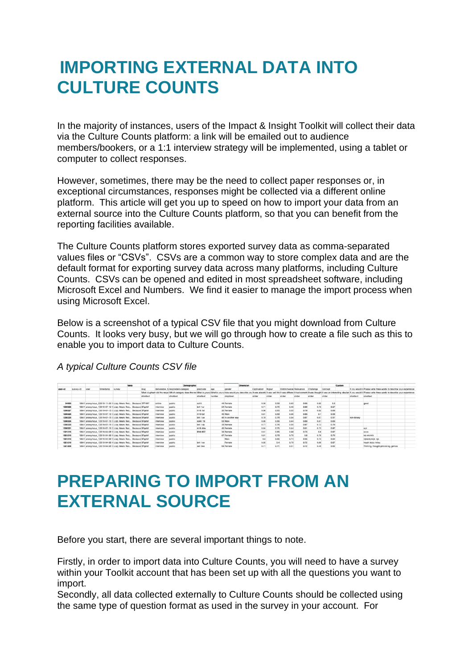### **IMPORTING EXTERNAL DATA INTO CULTURE COUNTS**

In the majority of instances, users of the Impact & Insight Toolkit will collect their data via the Culture Counts platform: a link will be emailed out to audience members/bookers, or a 1:1 interview strategy will be implemented, using a tablet or computer to collect responses.

However, sometimes, there may be the need to collect paper responses or, in exceptional circumstances, responses might be collected via a different online platform. This article will get you up to speed on how to import your data from an external source into the Culture Counts platform, so that you can benefit from the reporting facilities available.

The Culture Counts platform stores exported survey data as comma-separated values files or "CSVs". CSVs are a common way to store complex data and are the default format for exporting survey data across many platforms, including Culture Counts. CSVs can be opened and edited in most spreadsheet software, including Microsoft Excel and Numbers. We find it easier to manage the import process when using Microsoft Excel.

Below is a screenshot of a typical CSV file that you might download from Culture Counts. It looks very busy, but we will go through how to create a file such as this to enable you to import data to Culture Counts.

#### *A typical Culture Counts CSV file*

|         |           |              |                                                                |        | Meta |          |                  |                                   | Demographic |           |                  |                                                                                                                                            | Dimension |             |        |             |                          |           |         | Custom |            |                   |                                                                                                                                   |  |
|---------|-----------|--------------|----------------------------------------------------------------|--------|------|----------|------------------|-----------------------------------|-------------|-----------|------------------|--------------------------------------------------------------------------------------------------------------------------------------------|-----------|-------------|--------|-------------|--------------------------|-----------|---------|--------|------------|-------------------|-----------------------------------------------------------------------------------------------------------------------------------|--|
| user-in | survey-id | <b>LISAC</b> | smestamo                                                       | Survey |      | slug     |                  | deliverable hirespondent-category |             | postcode  | 304              | gender                                                                                                                                     |           | Captivation | Rigour |             | Distinctivener Relevance | Challenge | Concept |        |            |                   | If you would ill Please write three words to describe your experience                                                             |  |
|         |           |              |                                                                |        |      |          |                  |                                   |             |           |                  | What slughash did the respo Which category does the res What is your c What is your a How would you describe you it was absorbilt was well |           |             |        |             |                          |           |         |        |            |                   | ilt had somethilt was thought it was an interesting idea/proll you would ill Please write three words to describe your experience |  |
|         |           |              |                                                                |        |      | shortext |                  | shorttext                         |             | shortlest | <b>FAATITIES</b> | dropdown                                                                                                                                   |           | slider      | slider |             | slider                   | science   | slider  |        | shortlext  | shortlext         |                                                                                                                                   |  |
|         |           |              |                                                                |        |      |          |                  |                                   |             |           |                  |                                                                                                                                            |           |             |        |             |                          |           |         |        |            |                   |                                                                                                                                   |  |
| 34063   |           |              | 10541 anonymous 32019-11-26 1(Lizy Wears Red., Because 7FFHHY  |        |      |          | online           | public                            |             | sote      |                  | 44 Female                                                                                                                                  |           | 0.56        | 0.59   | 0.63        | 0.66                     | 0.82      | 0.8     |        |            | good              |                                                                                                                                   |  |
| 1333328 |           |              | 10641 anonymous 12019-07-15 1:Lizzy Wears Red., Because 5FortM |        |      |          | nterview         | public                            |             | bn1 1ar   |                  | 54 Female                                                                                                                                  |           | 0.71        | 0.72   | 0.48        | 0.89                     | 0.73      | 0.57    |        |            |                   |                                                                                                                                   |  |
| 1330327 |           |              | 10541 anonymous_12019-07-15 1.Lizzy Wears Red Because 5FoetM   |        |      |          | <b>Interview</b> | public                            |             | mit6 1af  |                  | 32 Fernate                                                                                                                                 |           | 0.66        | 0.65   | 0.55        | 0.79                     | 0.82      | 0.68    |        |            |                   |                                                                                                                                   |  |
| 1333326 |           |              | 10641 anonymous_12019-07-15 1:Lizzy Wears Red Because 5FortM   |        |      |          | nterview         | public                            |             | m10 Caf   |                  | 45 Male                                                                                                                                    |           | 0.81        | 0.69   | 0.56        | 0.86                     | 0.7       | 0.58    |        |            |                   |                                                                                                                                   |  |
| 1330325 |           |              | 10541 anonymous_12019-07-15 1.Lizzy Wears Red Because:5FgetM   |        |      |          | <b>Interview</b> | public                            |             | bn1 1ae   |                  | 45 In another way                                                                                                                          |           | 0.78        | 0.78   | 0.34        | 0.87                     | 0.67      | 0.57    |        | non-birary |                   |                                                                                                                                   |  |
| 1333324 |           |              | 10541 anonymous 12019-07-15 1. Lizzy Wears Red Because 5FgetM  |        |      |          | Interview        | public                            |             | so40 7bi  |                  | S3 Male                                                                                                                                    |           | 0.05        | 0.66   | 0.44        | 0.89                     | 0.87      | 0.09    |        |            |                   |                                                                                                                                   |  |
| 1330323 |           |              | 10541 anonymous_12019-07-15 1.Lizzy Wears Red Because 5FgetM   |        |      |          | Interview        | public                            |             | bn1 1dp   |                  | 33 Female                                                                                                                                  |           | 0.77        | 0.76   | 0.55        | 0.87                     | 0.73      | 0.79    |        |            |                   |                                                                                                                                   |  |
| 1333321 |           |              | 10641 anonymous_12019-07-15 1: Lizzy Wears Red Because SFgetM  |        |      |          | interview        | public                            |             | m16 4dw   |                  | 45 Female                                                                                                                                  |           | 0.84        | 0.75   | 0.44        | 0.91                     | 0.73      | 0.87    |        |            | xyz               |                                                                                                                                   |  |
| 1321215 |           |              | 10541 anonymous_12019-04-08 1(Lizzy Wears Red Because 5FgetM   |        |      |          | Interview        | public                            |             | BN6 8EZ   |                  | 34 Female                                                                                                                                  |           | 0.61        | 0.65   | 0.68        | 0.73                     | 0.8       | 0.67    |        |            | <b>EXXX</b>       |                                                                                                                                   |  |
| 1321213 |           |              | 10641 anonymous_12019-04-08 1 Lizzy Wears Red Because SFgetM   |        |      |          | nterview         | public                            |             |           |                  | 67 Female                                                                                                                                  |           | 0.81        | 0.78   | 0.79        | 0.8                      | 0.79      | 0.79    |        |            | <b>Ab midmik</b>  |                                                                                                                                   |  |
| 1321212 |           |              | 10541 anonymous 12019-04-08 1 Lizzy Wears Red Because 5FortM   |        |      |          | nterview         | public                            |             |           |                  | Male                                                                                                                                       |           | 0.6         | 0.65   | 0.74        | 0.55                     | 0.73      | 0.64    |        |            | njabnkjnkjib njik |                                                                                                                                   |  |
| 1321210 |           |              | 10641 anonymous 12019-04-08 1 Lizzy Wears Red Because 5FortM   |        |      |          | interview        | public                            |             | bn1 1ae   |                  | Femala                                                                                                                                     |           | 0.65        |        | 0.70<br>0.4 | 0.72                     | 0.69      | 0.67    |        |            | Nuch blulu hrigu  |                                                                                                                                   |  |
| 1321208 |           |              | 10541 anonymous 12019-04-08 1(Lizzy Wears Red Because 5FoetM   |        |      |          | nterview         | public.                           |             | set 6ee   |                  | 64 Female                                                                                                                                  |           | 0.77        | 0.71   | 0.51        | 0.72                     | 0.49      | 0.82    |        |            |                   | Thrilling, thought-provoking, genius                                                                                              |  |

#### **PREPARING TO IMPORT FROM AN EXTERNAL SOURCE**

Before you start, there are several important things to note.

Firstly, in order to import data into Culture Counts, you will need to have a survey within your Toolkit account that has been set up with all the questions you want to import.

Secondly, all data collected externally to Culture Counts should be collected using the same type of question format as used in the survey in your account. For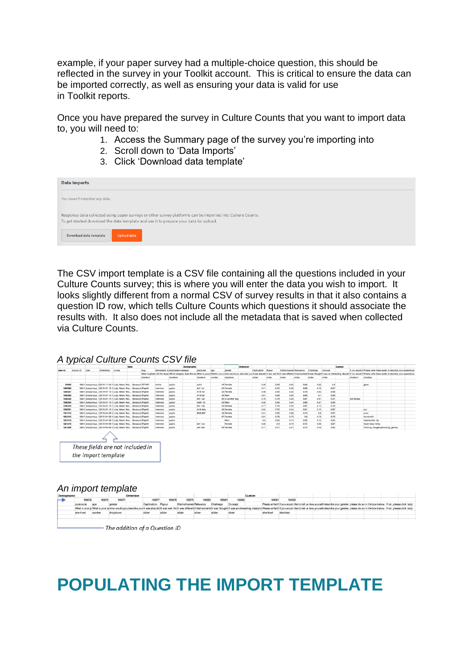example, if your paper survey had a multiple-choice question, this should be reflected in the survey in your Toolkit account. This is critical to ensure the data can be imported correctly, as well as ensuring your data is valid for use in Toolkit reports.

Once you have prepared the survey in Culture Counts that you want to import data to, you will need to:

- 1. Access the Summary page of the survey you're importing into
- 2. Scroll down to 'Data Imports'
- 3. Click 'Download data template'

| Data Imports                                                                                                                                                                                                                                        |
|-----------------------------------------------------------------------------------------------------------------------------------------------------------------------------------------------------------------------------------------------------|
| You haven't imported any data.                                                                                                                                                                                                                      |
| Response data collected using paper surveys or other survey platforms can be imported into Culture Counts.<br>To get started download the data template and use it to prepare your data for upload.<br>Download data template<br><b>Upload data</b> |

The CSV import template is a CSV file containing all the questions included in your Culture Counts survey; this is where you will enter the data you wish to import.It looks slightly different from a normal CSV of survey results in that it also contains a question ID row, which tells Culture Counts which questions it should associate the results with. It also does not include all the metadata that is saved when collected via Culture Counts.

*A typical Culture Counts CSV file*

|                    |           |              |                 |                                                                                                                                | Meta |          |                        | Demographic                                                                                                                                                                                                                    |           |                 |                   | Dimension |                    |             |             |                              |              |              | Custom |            |                                     |                                      |                                                                      |
|--------------------|-----------|--------------|-----------------|--------------------------------------------------------------------------------------------------------------------------------|------|----------|------------------------|--------------------------------------------------------------------------------------------------------------------------------------------------------------------------------------------------------------------------------|-----------|-----------------|-------------------|-----------|--------------------|-------------|-------------|------------------------------|--------------|--------------|--------|------------|-------------------------------------|--------------------------------------|----------------------------------------------------------------------|
| user-id            | survey-id | <b>LISHE</b> | <b>Smestamo</b> | Survey                                                                                                                         |      | stug     |                        | deliverable tylespondent-category                                                                                                                                                                                              | postcode  | 30 <sub>0</sub> | gender            |           | Captivation Rigour |             |             | Distinctivener Relevance     | Challenge    | Concert      |        |            |                                     |                                      | If you would li Please write three words to describe your experience |
|                    |           |              |                 |                                                                                                                                |      |          |                        | What slughash did the reace Which categov does the res What is your c What is your c How would you describe you it was absorbilt was well thiclit was different it had somethilt was thought it was a interesting idealer if y |           |                 |                   |           |                    |             |             |                              |              |              |        |            |                                     |                                      |                                                                      |
|                    |           |              |                 |                                                                                                                                |      | shortext |                        | shortlext                                                                                                                                                                                                                      | shortlest | <b>FAIRING</b>  | dropdown          |           | slider             | slider      | slider      | slider                       | slider       | slider       |        | shortlext  | shortlext                           |                                      |                                                                      |
| 34063              |           |              |                 | 10541 anonymous 32019-11-26 1(Lizzy Wears Red., Because 7FFHHY                                                                 |      |          | online                 | public                                                                                                                                                                                                                         | \$016     |                 | 44 Femala         |           | 0.56               |             | 0.59        | 0.63<br>0.66                 | 0.82         | 0.8          |        |            | good                                |                                      |                                                                      |
| 1333328            |           |              |                 | 10641 anonymous 12019-07-15 1:Lizzy Wears Red Because 5FgetM                                                                   |      |          | interview              | public                                                                                                                                                                                                                         | bet tar   |                 | 54 Female         |           |                    | 0.71        | 0.72        | 0.89<br>0.46                 | 0.73         | 0.57         |        |            |                                     |                                      |                                                                      |
| 1330327            |           |              |                 | 10541 anonymous_12019-07-15 1:Lizy Wears Red Because 5FoetM                                                                    |      |          | Interview              | public                                                                                                                                                                                                                         | m16 1sf   |                 | 32 Female         |           |                    | 0.06        | 0.65        | 0.55<br>0.79                 | 0.82         | 0.68         |        |            |                                     |                                      |                                                                      |
| 1333326            |           |              |                 | 10641 anonymous_12019-07-15 1:Lizzy Wears Red Because 5FortM                                                                   |      |          | Interview              | public                                                                                                                                                                                                                         | rh10 Caf  |                 | 45 Male           |           |                    | 0.81        | 0.69        | 0.56<br>0.86                 | 0.7          | 0.58         |        |            |                                     |                                      |                                                                      |
| 1330325            |           |              |                 | 10541 anonymous_12019-07-15 1:Lizzy Wears Red Because 3FgetM                                                                   |      |          | Interview              | public                                                                                                                                                                                                                         | bn1 1ae   |                 | 45 In another way |           |                    | 0.78        | 0.78        | 0.87<br>0.34                 | 0.67         | 0.57         |        | non-birary |                                     |                                      |                                                                      |
| 1333324            |           |              |                 | 10641 anonymous 12019-07-15 1: Lizzy Wears Red Because SFgetM                                                                  |      |          | Interview              | public                                                                                                                                                                                                                         | no40 7bi  |                 | 53 Main           |           |                    | 0.05        | 0.66        | 0.44<br>0.09                 | 0.87         | 0.09         |        |            |                                     |                                      |                                                                      |
| 1330323            |           |              |                 | 10541 anonymous_12019-07-15 1:Lizzy Wears Red Because 5FgetM                                                                   |      |          | Interview              | public                                                                                                                                                                                                                         | bn1 1dp   |                 | 33 Ferrale        |           | 0.77               |             | 0.76        | 0.87<br>0.55                 | 0.73         | 0.79         |        |            |                                     |                                      |                                                                      |
| 1333321            |           |              |                 | 10541 anonymous_12019-07-15 1: Lizzy Wears Red Because SFgetM                                                                  |      |          | interview              | public                                                                                                                                                                                                                         | m16 4dw   |                 | 45 Female         |           |                    | 0.84        | 0.75        | 0.91<br>0.44                 | 0.73         | 0.87         |        |            | xyz                                 |                                      |                                                                      |
| 1321215            |           |              |                 | 10541 anonymous_12019-04-08 1(Lizzy Wears Red., Because SFortM                                                                 |      |          | <b>Interview</b>       | public                                                                                                                                                                                                                         | BN6 8EZ   |                 | 34 Fernale        |           |                    | 0.61        | 0.65        | 0.68<br>0.73                 | 0.8          | 0.67         |        |            | <b>EXCEN</b>                        |                                      |                                                                      |
| 1321213            |           |              |                 | 10541 anonymous 12019-04-08 1 Lizzy Wears Red Because 5FaetM                                                                   |      |          | interview              | public                                                                                                                                                                                                                         |           |                 | 67 Female<br>Male |           |                    | 0.81        | 0.78        | 0.79<br>0.8                  | 0.79         | 0.79         |        |            | kb mkimik                           |                                      |                                                                      |
| 1321212<br>1321210 |           |              |                 | 10541 anonymous 12019-04-08 1 Lizzy Wears Red., Because 5FortM<br>10641 anonymous 12019-04-08 1 Lizzy Wears Red Because 5FaetM |      |          | interview<br>interview | public<br>public                                                                                                                                                                                                               | bet tax   |                 | Femala            |           |                    | 0.6<br>0.65 | 0.65<br>0.4 | 0.55<br>0.74<br>0.72<br>0.79 | 0.73<br>0.69 | 0.64<br>0.67 |        |            | nikbnkinkib nik<br>Nuoh bisiu hrigu |                                      |                                                                      |
| 1321208            |           |              |                 | 10541 anonymous_12019-04-08 1(Lizy Wears Red Because 5FgetM                                                                    |      |          | Interview              | public                                                                                                                                                                                                                         | se1 6ee   |                 | 64 Female         |           | 0.77               |             | 0.71        | 0.51<br>0.72                 | 0.49         | 0.82         |        |            |                                     | Thrilling, thought-provoking, genius |                                                                      |
|                    |           |              |                 |                                                                                                                                |      |          |                        |                                                                                                                                                                                                                                |           |                 |                   |           |                    |             |             |                              |              |              |        |            |                                     |                                      |                                                                      |
|                    |           |              |                 | These fields are not included in                                                                                               |      |          |                        |                                                                                                                                                                                                                                |           |                 |                   |           |                    |             |             |                              |              |              |        |            |                                     |                                      |                                                                      |
|                    |           |              |                 |                                                                                                                                |      |          |                        |                                                                                                                                                                                                                                |           |                 |                   |           |                    |             |             |                              |              |              |        |            |                                     |                                      |                                                                      |
|                    |           |              |                 | the import template                                                                                                            |      |          |                        |                                                                                                                                                                                                                                |           |                 |                   |           |                    |             |             |                              |              |              |        |            |                                     |                                      |                                                                      |

#### *An import template*



- The addition of a Question ID

### **POPULATING THE IMPORT TEMPLATE**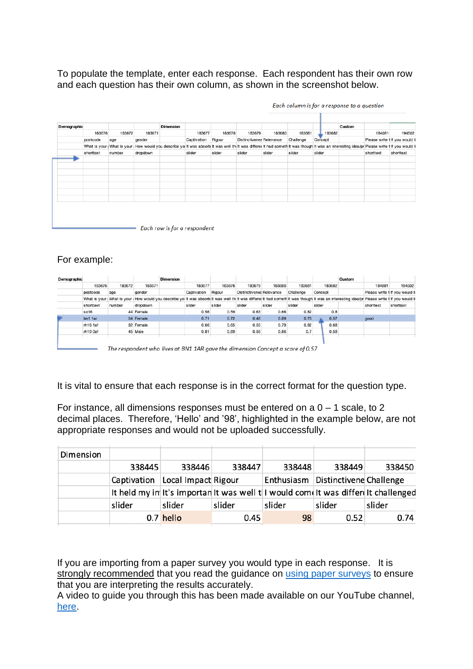To populate the template, enter each response. Each respondent has their own row and each question has their own column, as shown in the screenshot below.

| 183676<br>183672<br>183677<br>183678<br>183679<br>183680<br>183681<br>183682<br>183671<br>Rigour<br><b>Distinctivenes Relevance</b><br>Captivation<br>Challenge<br>gender<br>postcode<br>Concept<br>age<br>What is your (What is your How would you describe yoi it was absorb it was well thi it was differer it had someth it was though it was an interesting idea/pr Please write t if you would lil | 184081    | 194502                          |
|----------------------------------------------------------------------------------------------------------------------------------------------------------------------------------------------------------------------------------------------------------------------------------------------------------------------------------------------------------------------------------------------------------|-----------|---------------------------------|
|                                                                                                                                                                                                                                                                                                                                                                                                          |           |                                 |
|                                                                                                                                                                                                                                                                                                                                                                                                          |           | Please write t If you would lil |
|                                                                                                                                                                                                                                                                                                                                                                                                          |           |                                 |
| slider<br>slider<br>slider<br>slider<br>slider<br>slider<br>shorttext<br>number<br>dropdown                                                                                                                                                                                                                                                                                                              | shorttext | shorttext                       |
|                                                                                                                                                                                                                                                                                                                                                                                                          |           |                                 |
|                                                                                                                                                                                                                                                                                                                                                                                                          |           |                                 |
|                                                                                                                                                                                                                                                                                                                                                                                                          |           |                                 |
|                                                                                                                                                                                                                                                                                                                                                                                                          |           |                                 |
|                                                                                                                                                                                                                                                                                                                                                                                                          |           |                                 |
|                                                                                                                                                                                                                                                                                                                                                                                                          |           |                                 |
|                                                                                                                                                                                                                                                                                                                                                                                                          |           |                                 |

Each column is for a response to a question

Each row is for a respondent

#### For example:

| Demographic |           |        |           | <b>Dimension</b> |             |                      |                          |        |           |         | Custom |           |                                                                                                                                                                                              |
|-------------|-----------|--------|-----------|------------------|-------------|----------------------|--------------------------|--------|-----------|---------|--------|-----------|----------------------------------------------------------------------------------------------------------------------------------------------------------------------------------------------|
|             | 183676    | 183672 | 183671    |                  | 183677      | 183678               | 183679                   | 183680 | 183681    | 183682  |        | 184081    | 194502                                                                                                                                                                                       |
|             | postcode  | age    | gender    |                  | Captivation | Rigour               | Distinctivenes Relevance |        | Challenge | Concept |        |           | Please write 1 If you would lil                                                                                                                                                              |
|             |           |        |           |                  |             |                      |                          |        |           |         |        |           | What is your (What is your How would you describe yoi it was absorb it was well thilt was differer it had someth it was though it was an interesting idea/pr Please write if f you would lil |
|             | shorttext | number | dropdown  |                  | slider      | slider               | slider                   | slider | slider    | slider  |        | shorttext | shorttext                                                                                                                                                                                    |
|             | so16      |        | 44 Female |                  | 0.56        | 0.59                 | 0.63                     | 0.66   | 0.82      | 0.8     |        |           |                                                                                                                                                                                              |
|             | bn1 1ar   |        | 54 Female |                  | 0.71        | 0.72                 | 0.46                     | 0.89   | 0.73      | 0.57    |        | good      |                                                                                                                                                                                              |
|             | rh16 1af  |        | 32 Female |                  | 0.66        | 0.65                 | 0.55                     | 0.79   | 0.82      | 0.68    |        |           |                                                                                                                                                                                              |
|             | rh10 0af  |        | 45 Male   |                  | 0.81        | 0.69                 | 0.56                     | 0.86   | 0.7       | 0.58    |        |           |                                                                                                                                                                                              |
|             |           |        |           |                  |             |                      |                          |        |           |         |        |           |                                                                                                                                                                                              |
|             |           | --     | . .       | $\sim$ $\sim$    | --------    | $\sim$ $\sim$ $\sim$ |                          |        |           |         |        |           |                                                                                                                                                                                              |

- The respondent who lives at BN1 1AR gave the dimension Concept a score of 0.57

It is vital to ensure that each response is in the correct format for the question type.

For instance, all dimensions responses must be entered on a  $0 - 1$  scale, to 2 decimal places. Therefore, 'Hello' and '98', highlighted in the example below, are not appropriate responses and would not be uploaded successfully.

| Dimension |             |                     |        |                                                                                     |                                    |        |
|-----------|-------------|---------------------|--------|-------------------------------------------------------------------------------------|------------------------------------|--------|
|           | 338445      | 338446              | 338447 | 338448                                                                              | 338449                             | 338450 |
|           | Captivation | Local Impact Rigour |        |                                                                                     | Enthusiasm Distinctivene Challenge |        |
|           |             |                     |        | It held my in It's importan It was well to I would come It was different thallenged |                                    |        |
|           | slider      | slider              | slider | slider                                                                              | slider                             | slider |
|           |             | 0.7 hello           | 0.45   | 98                                                                                  | 0.52                               | 0.74   |

If you are importing from a paper survey you would type in each response. It is strongly recommended that you read the guidance on [using paper surveys](https://impactandinsight.co.uk/carrying-out-a-paper-survey/) to ensure that you are interpreting the results accurately.

A video to guide you through this has been made available on our YouTube channel, [here.](https://www.youtube.com/channel/UCm6xwczzZuYL97REMqYCNPw)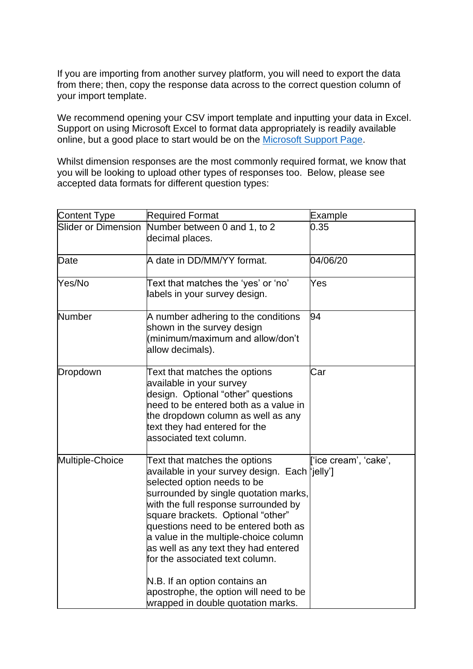If you are importing from another survey platform, you will need to export the data from there; then, copy the response data across to the correct question column of your import template.

We recommend opening your CSV import template and inputting your data in Excel. Support on using Microsoft Excel to format data appropriately is readily available online, but a good place to start would be on the [Microsoft Support Page.](https://support.microsoft.com/en-us/office/basic-tasks-in-excel-dc775dd1-fa52-430f-9c3c-d998d1735fca)

Whilst dimension responses are the most commonly required format, we know that you will be looking to upload other types of responses too. Below, please see accepted data formats for different question types:

| Content Type        | <b>Required Format</b>                                                                                                                                                                                                                                                                                                                                                                                                                                                                                            | Example               |
|---------------------|-------------------------------------------------------------------------------------------------------------------------------------------------------------------------------------------------------------------------------------------------------------------------------------------------------------------------------------------------------------------------------------------------------------------------------------------------------------------------------------------------------------------|-----------------------|
| Slider or Dimension | Number between 0 and 1, to 2<br>decimal places.                                                                                                                                                                                                                                                                                                                                                                                                                                                                   | 0.35                  |
| Date                | A date in DD/MM/YY format.                                                                                                                                                                                                                                                                                                                                                                                                                                                                                        | 04/06/20              |
| Yes/No              | Text that matches the 'yes' or 'no'<br>labels in your survey design.                                                                                                                                                                                                                                                                                                                                                                                                                                              | Yes                   |
| <b>Number</b>       | A number adhering to the conditions<br>shown in the survey design<br>minimum/maximum and allow/don't<br>allow decimals).                                                                                                                                                                                                                                                                                                                                                                                          | 94                    |
| Dropdown            | Text that matches the options<br>available in your survey<br>design. Optional "other" questions<br>need to be entered both as a value in<br>the dropdown column as well as any<br>text they had entered for the<br>associated text column.                                                                                                                                                                                                                                                                        | Car                   |
| Multiple-Choice     | Text that matches the options<br>available in your survey design. Each [jelly']<br>selected option needs to be<br>surrounded by single quotation marks,<br>with the full response surrounded by<br>square brackets. Optional "other"<br>questions need to be entered both as<br>a value in the multiple-choice column<br>as well as any text they had entered<br>for the associated text column.<br>N.B. If an option contains an<br>apostrophe, the option will need to be<br>wrapped in double quotation marks. | ['ice cream', 'cake', |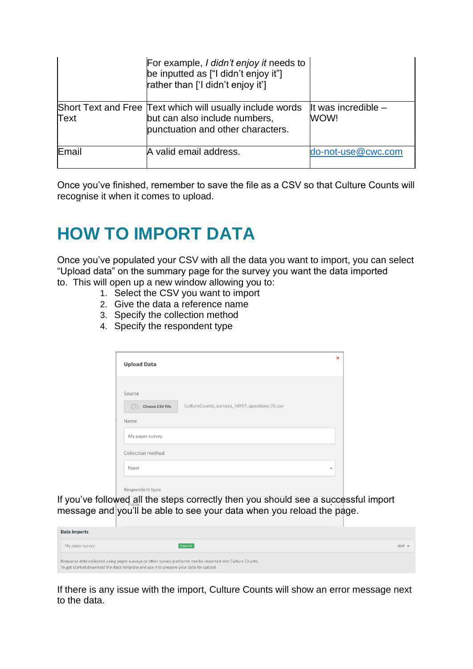|       | For example, I didn't enjoy it needs to<br>be inputted as ["I didn't enjoy it"]<br>rather than ['I didn't enjoy it']            |                               |
|-------|---------------------------------------------------------------------------------------------------------------------------------|-------------------------------|
| Text  | Short Text and Free Text which will usually include words<br>but can also include numbers,<br>punctuation and other characters. | It was incredible $-$<br>WOW! |
| Email | A valid email address.                                                                                                          | do-not-use@cwc.com            |

Once you've finished, remember to save the file as a CSV so that Culture Counts will recognise it when it comes to upload.

## **HOW TO IMPORT DATA**

Once you've populated your CSV with all the data you want to import, you can select "Upload data" on the summary page for the survey you want the data imported to. This will open up a new window allowing you to:

- 1. Select the CSV you want to import
- 2. Give the data a reference name
- 3. Specify the collection method
- 4. Specify the respondent type

| <b>Upload Data</b>                                     |                                               | $\boldsymbol{\mathsf{x}}$ |
|--------------------------------------------------------|-----------------------------------------------|---------------------------|
| Source<br><b>Choose CSV File</b><br>$\bigcirc$<br>Name | CultureCounts_surveys_14997_questions (1).csv |                           |
| My paper survey                                        |                                               |                           |
| Collection method<br>Paper                             |                                               |                           |
| Respondent type                                        |                                               |                           |

If you've followed all the steps correctly then you should see a successful import message and you'll be able to see your data when you reload the page.

| <b>Data Imports</b> |                                                                                                                                                                                                     |               |
|---------------------|-----------------------------------------------------------------------------------------------------------------------------------------------------------------------------------------------------|---------------|
| My paper survey     | Imported                                                                                                                                                                                            | $EDIT \times$ |
|                     | Response data collected using paper surveys or other survey platforms can be imported into Culture Counts.<br>To get started download the data template and use it to prepare your data for upload. |               |

If there is any issue with the import, Culture Counts will show an error message next to the data.